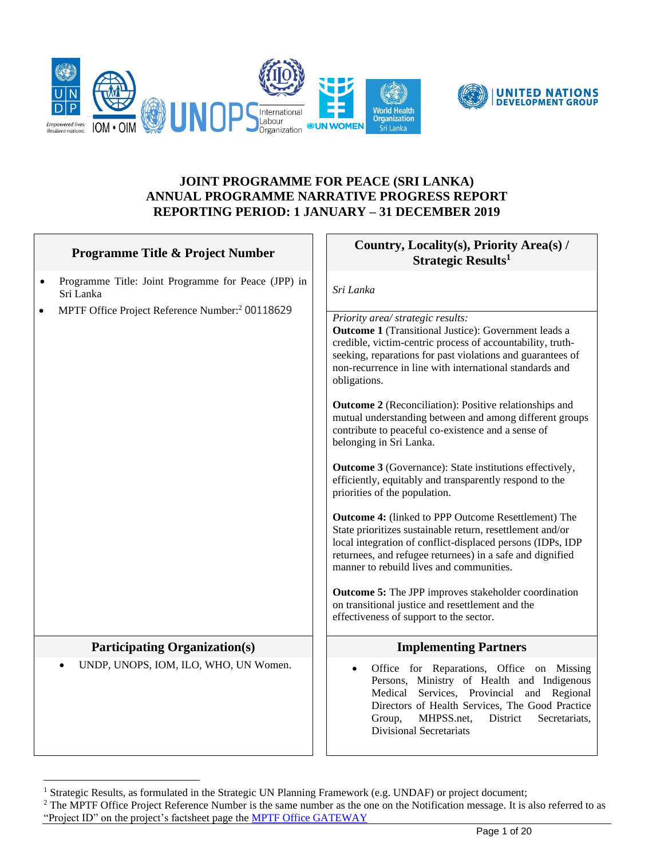



## **JOINT PROGRAMME FOR PEACE (SRI LANKA) ANNUAL PROGRAMME NARRATIVE PROGRESS REPORT REPORTING PERIOD: 1 JANUARY – 31 DECEMBER 2019**

| Programme Title & Project Number                                              | Country, Locality(s), Priority Area(s) /<br>Strategic Results <sup>1</sup>                                                                                                                                                                                                                                                                                               |
|-------------------------------------------------------------------------------|--------------------------------------------------------------------------------------------------------------------------------------------------------------------------------------------------------------------------------------------------------------------------------------------------------------------------------------------------------------------------|
| Programme Title: Joint Programme for Peace (JPP) in<br>$\bullet$<br>Sri Lanka | Sri Lanka                                                                                                                                                                                                                                                                                                                                                                |
| MPTF Office Project Reference Number: <sup>2</sup> 00118629<br>$\bullet$      | Priority area/ strategic results:<br><b>Outcome 1</b> (Transitional Justice): Government leads a<br>credible, victim-centric process of accountability, truth-<br>seeking, reparations for past violations and guarantees of<br>non-recurrence in line with international standards and<br>obligations.<br><b>Outcome 2</b> (Reconciliation): Positive relationships and |
|                                                                               | mutual understanding between and among different groups<br>contribute to peaceful co-existence and a sense of<br>belonging in Sri Lanka.                                                                                                                                                                                                                                 |
|                                                                               | <b>Outcome 3</b> (Governance): State institutions effectively,<br>efficiently, equitably and transparently respond to the<br>priorities of the population.                                                                                                                                                                                                               |
|                                                                               | Outcome 4: (linked to PPP Outcome Resettlement) The<br>State prioritizes sustainable return, resettlement and/or<br>local integration of conflict-displaced persons (IDPs, IDP<br>returnees, and refugee returnees) in a safe and dignified<br>manner to rebuild lives and communities.                                                                                  |
|                                                                               | <b>Outcome 5:</b> The JPP improves stakeholder coordination<br>on transitional justice and resettlement and the<br>effectiveness of support to the sector.                                                                                                                                                                                                               |
| <b>Participating Organization(s)</b>                                          | <b>Implementing Partners</b>                                                                                                                                                                                                                                                                                                                                             |
| UNDP, UNOPS, IOM, ILO, WHO, UN Women.                                         | Office for Reparations, Office on Missing<br>Persons, Ministry of Health and Indigenous<br>Medical Services, Provincial and Regional<br>Directors of Health Services, The Good Practice<br>MHPSS.net,<br>Group,<br>District<br>Secretariats,<br><b>Divisional Secretariats</b>                                                                                           |

<sup>&</sup>lt;sup>1</sup> Strategic Results, as formulated in the Strategic UN Planning Framework (e.g. UNDAF) or project document;

<sup>&</sup>lt;sup>2</sup> The MPTF Office Project Reference Number is the same number as the one on the Notification message. It is also referred to as "Project ID" on the project's factsheet page the [MPTF Office GATEWAY](http://mdtf.undp.org/)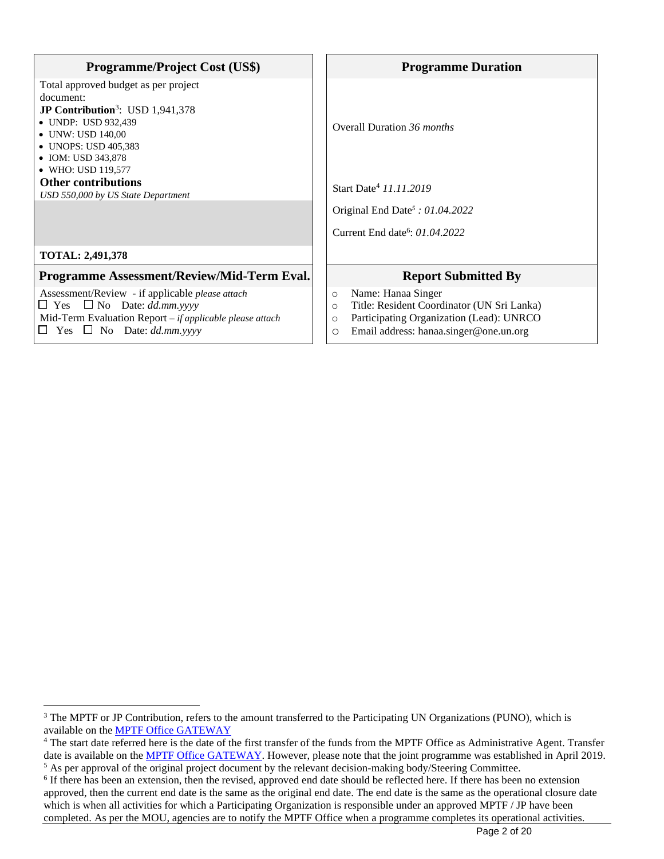| <b>Programme/Project Cost (US\$)</b>                                                                                                                                                                                       | <b>Programme Duration</b>                                                                                                                                                                          |  |
|----------------------------------------------------------------------------------------------------------------------------------------------------------------------------------------------------------------------------|----------------------------------------------------------------------------------------------------------------------------------------------------------------------------------------------------|--|
| Total approved budget as per project<br>document:<br><b>JP Contribution</b> <sup>3</sup> : USD $1,941,378$<br>• UNDP: USD 932,439<br>• UNW: USD 140,00<br>• UNOPS: USD 405,383<br>• IOM: USD 343,878<br>• WHO: USD 119,577 | Overall Duration 36 <i>months</i>                                                                                                                                                                  |  |
| <b>Other contributions</b><br>USD 550,000 by US State Department                                                                                                                                                           | Start Date <sup>4</sup> 11.11.2019                                                                                                                                                                 |  |
|                                                                                                                                                                                                                            | Original End Date <sup>5</sup> : $01.04.2022$                                                                                                                                                      |  |
|                                                                                                                                                                                                                            | Current End date <sup>6</sup> : 01.04.2022                                                                                                                                                         |  |
| <b>TOTAL: 2,491,378</b>                                                                                                                                                                                                    |                                                                                                                                                                                                    |  |
| Programme Assessment/Review/Mid-Term Eval.                                                                                                                                                                                 | <b>Report Submitted By</b>                                                                                                                                                                         |  |
| Assessment/Review - if applicable <i>please</i> attach<br>$\Box$ Yes $\Box$ No Date: dd.mm.yyyy<br>Mid-Term Evaluation Report – if applicable please attach<br>Yes $\Box$ No Date: dd.mm.yyyy<br>$\Box$                    | Name: Hanaa Singer<br>$\circ$<br>Title: Resident Coordinator (UN Sri Lanka)<br>$\circ$<br>Participating Organization (Lead): UNRCO<br>$\circ$<br>Email address: hanaa.singer@one.un.org<br>$\circ$ |  |

<sup>&</sup>lt;sup>3</sup> The MPTF or JP Contribution, refers to the amount transferred to the Participating UN Organizations (PUNO), which is available on the [MPTF Office](http://mdtf.undp.org/) GATEWAY

<sup>&</sup>lt;sup>4</sup> The start date referred here is the date of the first transfer of the funds from the MPTF Office as Administrative Agent. Transfer date is available on the MPTF [Office GATEWAY.](http://mdtf.undp.org/) However, please note that the joint programme was established in April 2019. <sup>5</sup> As per approval of the original project document by the relevant decision-making body/Steering Committee.

<sup>&</sup>lt;sup>6</sup> If there has been an extension, then the revised, approved end date should be reflected here. If there has been no extension approved, then the current end date is the same as the original end date. The end date is the same as the operational closure date which is when all activities for which a Participating Organization is responsible under an approved MPTF / JP have been completed. As per the MOU, agencies are to notify the MPTF Office when a programme completes its operational activities.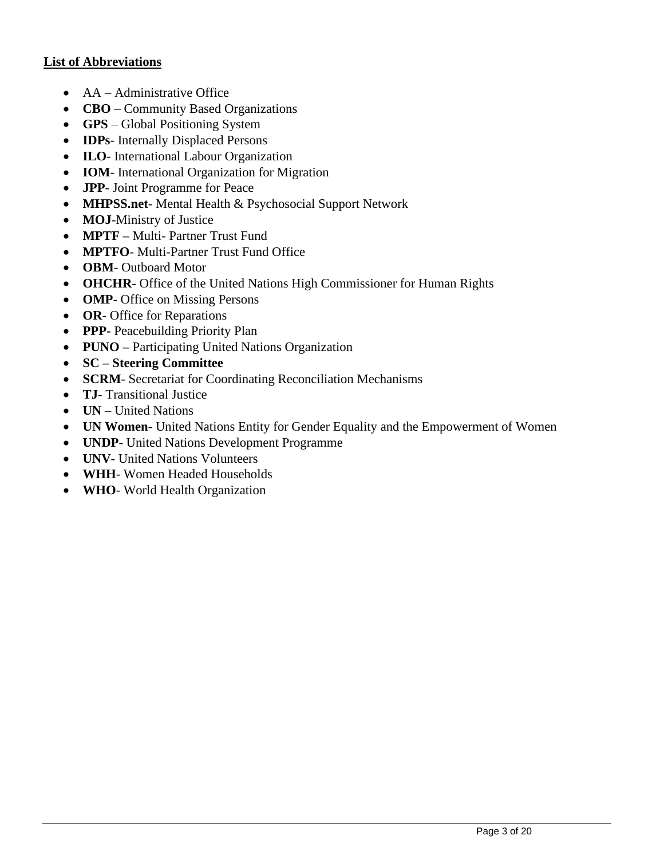## **List of Abbreviations**

- AA Administrative Office
- **CBO** Community Based Organizations
- **GPS** Global Positioning System
- **IDPs** Internally Displaced Persons
- **ILO** International Labour Organization
- **IOM** International Organization for Migration
- **JPP** Joint Programme for Peace
- **MHPSS.net** Mental Health & Psychosocial Support Network
- **MOJ**-Ministry of Justice
- **MPTF –** Multi- Partner Trust Fund
- **MPTFO** Multi-Partner Trust Fund Office
- **OBM** Outboard Motor
- **OHCHR** Office of the United Nations High Commissioner for Human Rights
- **OMP** Office on Missing Persons
- **OR** Office for Reparations
- **PPP-** Peacebuilding Priority Plan
- **PUNO –** Participating United Nations Organization
- **SC – Steering Committee**
- **SCRM** Secretariat for Coordinating Reconciliation Mechanisms
- **TJ** Transitional Justice
- **UN** United Nations
- **UN Women** United Nations Entity for Gender Equality and the Empowerment of Women
- **UNDP** United Nations Development Programme
- **UNV** United Nations Volunteers
- **WHH** Women Headed Households
- **WHO** World Health Organization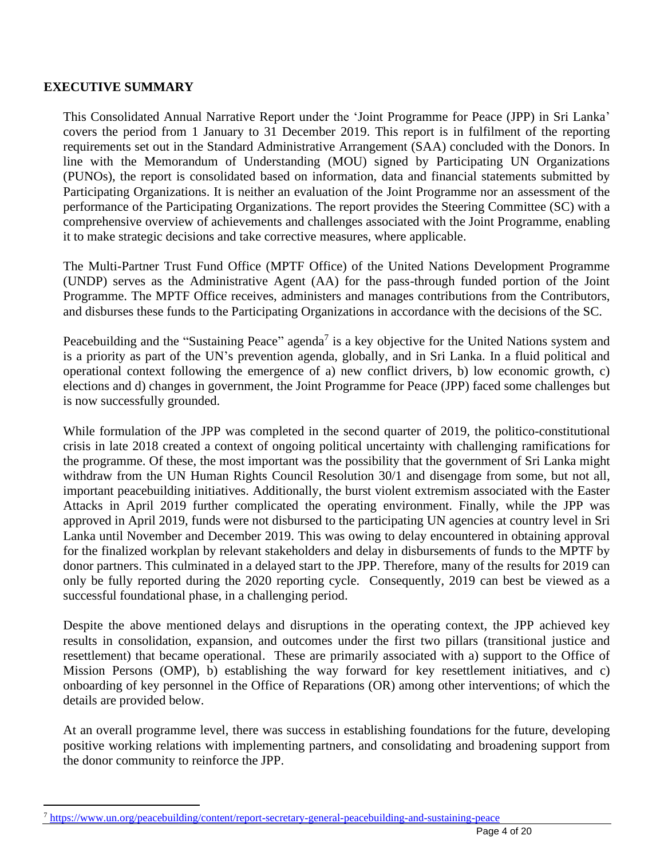## **EXECUTIVE SUMMARY**

This Consolidated Annual Narrative Report under the 'Joint Programme for Peace (JPP) in Sri Lanka' covers the period from 1 January to 31 December 2019. This report is in fulfilment of the reporting requirements set out in the Standard Administrative Arrangement (SAA) concluded with the Donors. In line with the Memorandum of Understanding (MOU) signed by Participating UN Organizations (PUNOs), the report is consolidated based on information, data and financial statements submitted by Participating Organizations. It is neither an evaluation of the Joint Programme nor an assessment of the performance of the Participating Organizations. The report provides the Steering Committee (SC) with a comprehensive overview of achievements and challenges associated with the Joint Programme, enabling it to make strategic decisions and take corrective measures, where applicable.

The Multi-Partner Trust Fund Office (MPTF Office) of the United Nations Development Programme (UNDP) serves as the Administrative Agent (AA) for the pass-through funded portion of the Joint Programme. The MPTF Office receives, administers and manages contributions from the Contributors, and disburses these funds to the Participating Organizations in accordance with the decisions of the SC.

Peacebuilding and the "Sustaining Peace" agenda<sup>7</sup> is a key objective for the United Nations system and is a priority as part of the UN's prevention agenda, globally, and in Sri Lanka. In a fluid political and operational context following the emergence of a) new conflict drivers, b) low economic growth, c) elections and d) changes in government, the Joint Programme for Peace (JPP) faced some challenges but is now successfully grounded.

While formulation of the JPP was completed in the second quarter of 2019, the politico-constitutional crisis in late 2018 created a context of ongoing political uncertainty with challenging ramifications for the programme. Of these, the most important was the possibility that the government of Sri Lanka might withdraw from the UN Human Rights Council Resolution 30/1 and disengage from some, but not all, important peacebuilding initiatives. Additionally, the burst violent extremism associated with the Easter Attacks in April 2019 further complicated the operating environment. Finally, while the JPP was approved in April 2019, funds were not disbursed to the participating UN agencies at country level in Sri Lanka until November and December 2019. This was owing to delay encountered in obtaining approval for the finalized workplan by relevant stakeholders and delay in disbursements of funds to the MPTF by donor partners. This culminated in a delayed start to the JPP. Therefore, many of the results for 2019 can only be fully reported during the 2020 reporting cycle. Consequently, 2019 can best be viewed as a successful foundational phase, in a challenging period.

Despite the above mentioned delays and disruptions in the operating context, the JPP achieved key results in consolidation, expansion, and outcomes under the first two pillars (transitional justice and resettlement) that became operational. These are primarily associated with a) support to the Office of Mission Persons (OMP), b) establishing the way forward for key resettlement initiatives, and c) onboarding of key personnel in the Office of Reparations (OR) among other interventions; of which the details are provided below.

At an overall programme level, there was success in establishing foundations for the future, developing positive working relations with implementing partners, and consolidating and broadening support from the donor community to reinforce the JPP.

<sup>7</sup> <https://www.un.org/peacebuilding/content/report-secretary-general-peacebuilding-and-sustaining-peace>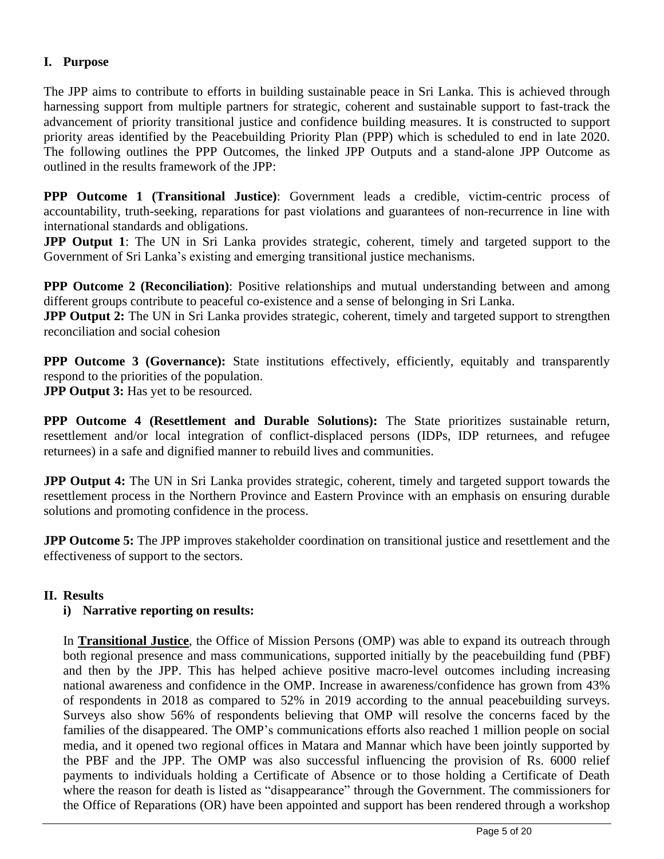# **I. Purpose**

The JPP aims to contribute to efforts in building sustainable peace in Sri Lanka. This is achieved through harnessing support from multiple partners for strategic, coherent and sustainable support to fast-track the advancement of priority transitional justice and confidence building measures. It is constructed to support priority areas identified by the Peacebuilding Priority Plan (PPP) which is scheduled to end in late 2020. The following outlines the PPP Outcomes, the linked JPP Outputs and a stand-alone JPP Outcome as outlined in the results framework of the JPP:

**PPP Outcome 1 (Transitional Justice)**: Government leads a credible, victim-centric process of accountability, truth-seeking, reparations for past violations and guarantees of non-recurrence in line with international standards and obligations.

**JPP Output 1**: The UN in Sri Lanka provides strategic, coherent, timely and targeted support to the Government of Sri Lanka's existing and emerging transitional justice mechanisms.

**PPP Outcome 2 (Reconciliation)**: Positive relationships and mutual understanding between and among different groups contribute to peaceful co-existence and a sense of belonging in Sri Lanka.

**JPP Output 2:** The UN in Sri Lanka provides strategic, coherent, timely and targeted support to strengthen reconciliation and social cohesion

**PPP Outcome 3 (Governance):** State institutions effectively, efficiently, equitably and transparently respond to the priorities of the population.

**JPP Output 3:** Has yet to be resourced.

**PPP Outcome 4 (Resettlement and Durable Solutions):** The State prioritizes sustainable return, resettlement and/or local integration of conflict-displaced persons (IDPs, IDP returnees, and refugee returnees) in a safe and dignified manner to rebuild lives and communities.

**JPP Output 4:** The UN in Sri Lanka provides strategic, coherent, timely and targeted support towards the resettlement process in the Northern Province and Eastern Province with an emphasis on ensuring durable solutions and promoting confidence in the process.

**JPP Outcome 5:** The JPP improves stakeholder coordination on transitional justice and resettlement and the effectiveness of support to the sectors.

## **II. Results**

## **i) Narrative reporting on results:**

In **Transitional Justice**, the Office of Mission Persons (OMP) was able to expand its outreach through both regional presence and mass communications, supported initially by the peacebuilding fund (PBF) and then by the JPP. This has helped achieve positive macro-level outcomes including increasing national awareness and confidence in the OMP. Increase in awareness/confidence has grown from 43% of respondents in 2018 as compared to 52% in 2019 according to the annual peacebuilding surveys. Surveys also show 56% of respondents believing that OMP will resolve the concerns faced by the families of the disappeared. The OMP's communications efforts also reached 1 million people on social media, and it opened two regional offices in Matara and Mannar which have been jointly supported by the PBF and the JPP. The OMP was also successful influencing the provision of Rs. 6000 relief payments to individuals holding a Certificate of Absence or to those holding a Certificate of Death where the reason for death is listed as "disappearance" through the Government. The commissioners for the Office of Reparations (OR) have been appointed and support has been rendered through a workshop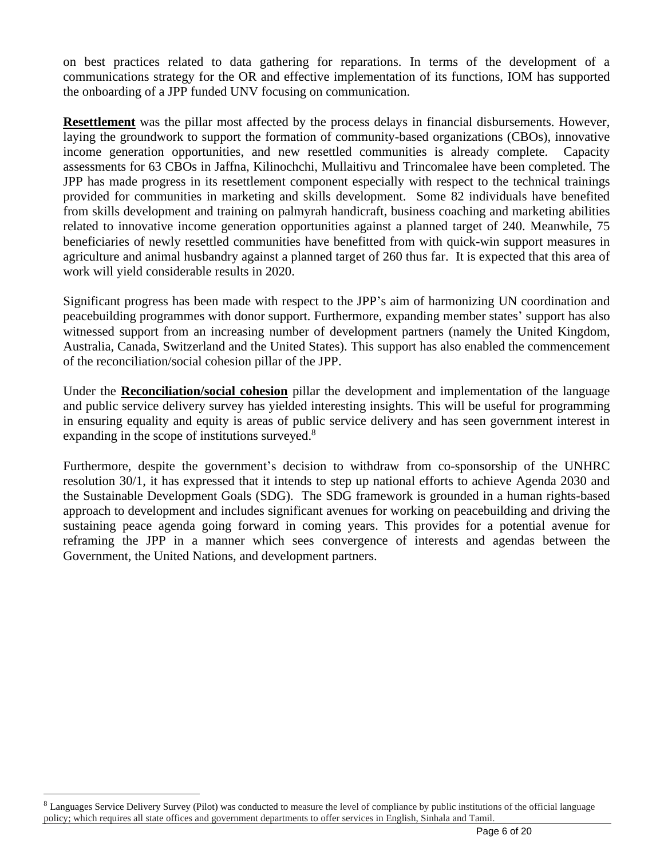on best practices related to data gathering for reparations. In terms of the development of a communications strategy for the OR and effective implementation of its functions, IOM has supported the onboarding of a JPP funded UNV focusing on communication.

**Resettlement** was the pillar most affected by the process delays in financial disbursements. However, laying the groundwork to support the formation of community-based organizations (CBOs), innovative income generation opportunities, and new resettled communities is already complete. Capacity assessments for 63 CBOs in Jaffna, Kilinochchi, Mullaitivu and Trincomalee have been completed. The JPP has made progress in its resettlement component especially with respect to the technical trainings provided for communities in marketing and skills development. Some 82 individuals have benefited from skills development and training on palmyrah handicraft, business coaching and marketing abilities related to innovative income generation opportunities against a planned target of 240. Meanwhile, 75 beneficiaries of newly resettled communities have benefitted from with quick-win support measures in agriculture and animal husbandry against a planned target of 260 thus far. It is expected that this area of work will yield considerable results in 2020.

Significant progress has been made with respect to the JPP's aim of harmonizing UN coordination and peacebuilding programmes with donor support. Furthermore, expanding member states' support has also witnessed support from an increasing number of development partners (namely the United Kingdom, Australia, Canada, Switzerland and the United States). This support has also enabled the commencement of the reconciliation/social cohesion pillar of the JPP.

Under the **Reconciliation/social cohesion** pillar the development and implementation of the language and public service delivery survey has yielded interesting insights. This will be useful for programming in ensuring equality and equity is areas of public service delivery and has seen government interest in expanding in the scope of institutions surveyed.<sup>8</sup>

Furthermore, despite the government's decision to withdraw from co-sponsorship of the UNHRC resolution 30/1, it has expressed that it intends to step up national efforts to achieve Agenda 2030 and the Sustainable Development Goals (SDG). The SDG framework is grounded in a human rights-based approach to development and includes significant avenues for working on peacebuilding and driving the sustaining peace agenda going forward in coming years. This provides for a potential avenue for reframing the JPP in a manner which sees convergence of interests and agendas between the Government, the United Nations, and development partners.

 $8$  Languages Service Delivery Survey (Pilot) was conducted to measure the level of compliance by public institutions of the official language policy; which requires all state offices and government departments to offer services in English, Sinhala and Tamil.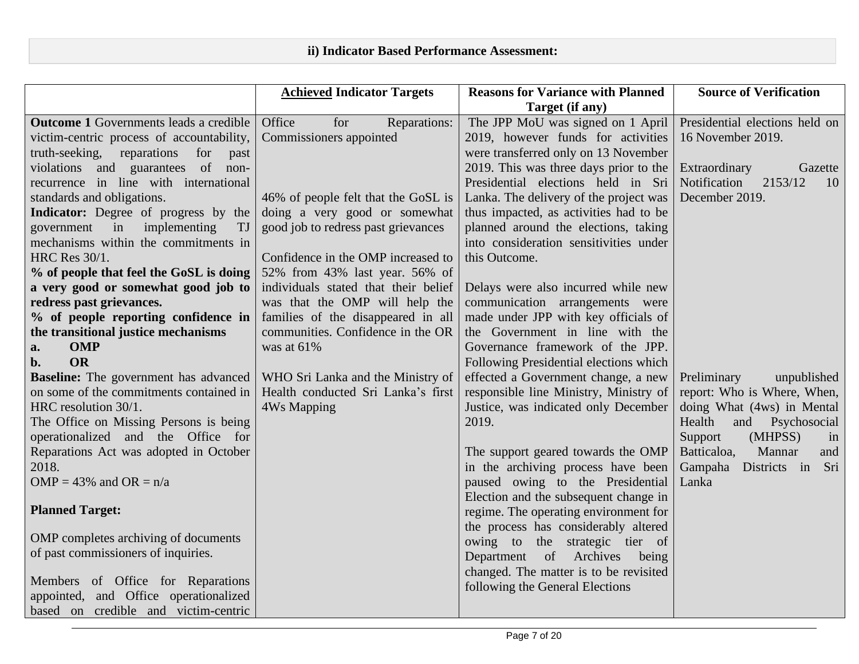| Target (if any)<br><b>Outcome 1</b> Governments leads a credible<br>Office<br>The JPP MoU was signed on 1 April<br>Presidential elections held on<br>for<br>Reparations:<br>Commissioners appointed<br>2019, however funds for activities<br>16 November 2019. |                                           |
|----------------------------------------------------------------------------------------------------------------------------------------------------------------------------------------------------------------------------------------------------------------|-------------------------------------------|
|                                                                                                                                                                                                                                                                |                                           |
|                                                                                                                                                                                                                                                                |                                           |
|                                                                                                                                                                                                                                                                | victim-centric process of accountability, |
| were transferred only on 13 November<br>truth-seeking, reparations for<br>past                                                                                                                                                                                 |                                           |
| violations and guarantees of non-<br>2019. This was three days prior to the<br>Extraordinary<br>Gazette                                                                                                                                                        |                                           |
| recurrence in line with international<br>Presidential elections held in Sri<br>Notification<br>2153/12<br>10                                                                                                                                                   |                                           |
| standards and obligations.<br>Lanka. The delivery of the project was<br>December 2019.<br>46% of people felt that the GoSL is                                                                                                                                  |                                           |
| doing a very good or somewhat<br>thus impacted, as activities had to be<br><b>Indicator:</b> Degree of progress by the                                                                                                                                         |                                           |
| implementing<br>good job to redress past grievances<br>planned around the elections, taking<br>government in<br>TJ                                                                                                                                             |                                           |
| mechanisms within the commitments in<br>into consideration sensitivities under                                                                                                                                                                                 |                                           |
| HRC Res 30/1.<br>Confidence in the OMP increased to<br>this Outcome.                                                                                                                                                                                           |                                           |
| % of people that feel the GoSL is doing<br>52% from 43% last year. 56% of                                                                                                                                                                                      |                                           |
| a very good or somewhat good job to<br>individuals stated that their belief<br>Delays were also incurred while new                                                                                                                                             |                                           |
| redress past grievances.<br>was that the OMP will help the<br>communication arrangements were                                                                                                                                                                  |                                           |
| % of people reporting confidence in<br>made under JPP with key officials of<br>families of the disappeared in all                                                                                                                                              |                                           |
| the transitional justice mechanisms<br>communities. Confidence in the OR<br>the Government in line with the                                                                                                                                                    |                                           |
| <b>OMP</b><br>was at 61%<br>Governance framework of the JPP.<br>a.                                                                                                                                                                                             |                                           |
| <b>OR</b><br>b.<br>Following Presidential elections which                                                                                                                                                                                                      |                                           |
| <b>Baseline:</b> The government has advanced<br>effected a Government change, a new<br>WHO Sri Lanka and the Ministry of<br>Preliminary<br>unpublished                                                                                                         |                                           |
| on some of the commitments contained in<br>Health conducted Sri Lanka's first<br>responsible line Ministry, Ministry of<br>report: Who is Where, When,                                                                                                         |                                           |
| HRC resolution 30/1.<br>Justice, was indicated only December<br><b>4Ws Mapping</b><br>doing What (4ws) in Mental                                                                                                                                               |                                           |
| The Office on Missing Persons is being<br>Health<br>and<br>Psychosocial<br>2019.                                                                                                                                                                               |                                           |
| operationalized and the Office for<br>Support<br>(MHPSS)<br>in                                                                                                                                                                                                 |                                           |
| Reparations Act was adopted in October<br>The support geared towards the OMP<br>Batticaloa,<br>Mannar<br>and                                                                                                                                                   |                                           |
| 2018.<br>in the archiving process have been<br>Gampaha<br>Districts in Sri                                                                                                                                                                                     |                                           |
| paused owing to the Presidential<br>Lanka<br>OMP = 43% and OR = $n/a$                                                                                                                                                                                          |                                           |
| Election and the subsequent change in                                                                                                                                                                                                                          |                                           |
| <b>Planned Target:</b><br>regime. The operating environment for                                                                                                                                                                                                |                                           |
| the process has considerably altered<br>OMP completes archiving of documents                                                                                                                                                                                   |                                           |
| owing to the strategic tier of<br>of past commissioners of inquiries.                                                                                                                                                                                          |                                           |
| Department of Archives being                                                                                                                                                                                                                                   |                                           |
| changed. The matter is to be revisited<br>Members of Office for Reparations                                                                                                                                                                                    |                                           |
| following the General Elections<br>appointed, and Office operationalized                                                                                                                                                                                       |                                           |
| based on credible and victim-centric                                                                                                                                                                                                                           |                                           |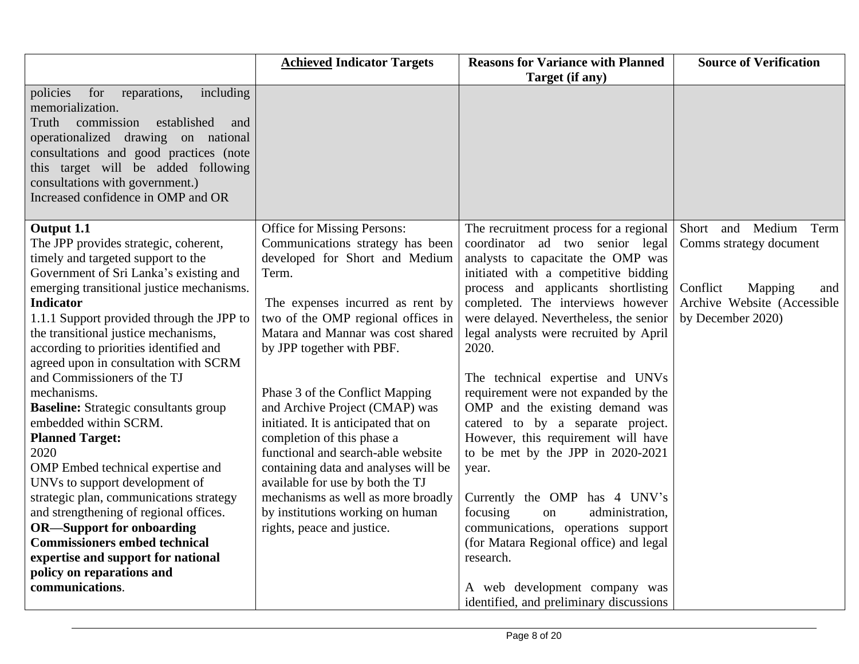|                                                                                                                                                                                                                                                                                                                                                                                                                                                                                                                                                                                                                                                                                                                                                                                                                                                                     | <b>Achieved Indicator Targets</b>                                                                                                                                                                                                                                                                                                                                                                                                                                                                                                                                                                                           | <b>Reasons for Variance with Planned</b>                                                                                                                                                                                                                                                                                                                                                                                                                                                                                                                                                                                                                                                                                                                                                                                 | <b>Source of Verification</b>                                                                                                      |
|---------------------------------------------------------------------------------------------------------------------------------------------------------------------------------------------------------------------------------------------------------------------------------------------------------------------------------------------------------------------------------------------------------------------------------------------------------------------------------------------------------------------------------------------------------------------------------------------------------------------------------------------------------------------------------------------------------------------------------------------------------------------------------------------------------------------------------------------------------------------|-----------------------------------------------------------------------------------------------------------------------------------------------------------------------------------------------------------------------------------------------------------------------------------------------------------------------------------------------------------------------------------------------------------------------------------------------------------------------------------------------------------------------------------------------------------------------------------------------------------------------------|--------------------------------------------------------------------------------------------------------------------------------------------------------------------------------------------------------------------------------------------------------------------------------------------------------------------------------------------------------------------------------------------------------------------------------------------------------------------------------------------------------------------------------------------------------------------------------------------------------------------------------------------------------------------------------------------------------------------------------------------------------------------------------------------------------------------------|------------------------------------------------------------------------------------------------------------------------------------|
|                                                                                                                                                                                                                                                                                                                                                                                                                                                                                                                                                                                                                                                                                                                                                                                                                                                                     |                                                                                                                                                                                                                                                                                                                                                                                                                                                                                                                                                                                                                             | Target (if any)                                                                                                                                                                                                                                                                                                                                                                                                                                                                                                                                                                                                                                                                                                                                                                                                          |                                                                                                                                    |
| policies<br>for<br>including<br>reparations,<br>memorialization.<br>Truth<br>commission<br>established<br>and<br>operationalized drawing on national<br>consultations and good practices (note<br>this target will be added following<br>consultations with government.)<br>Increased confidence in OMP and OR                                                                                                                                                                                                                                                                                                                                                                                                                                                                                                                                                      |                                                                                                                                                                                                                                                                                                                                                                                                                                                                                                                                                                                                                             |                                                                                                                                                                                                                                                                                                                                                                                                                                                                                                                                                                                                                                                                                                                                                                                                                          |                                                                                                                                    |
| Output 1.1<br>The JPP provides strategic, coherent,<br>timely and targeted support to the<br>Government of Sri Lanka's existing and<br>emerging transitional justice mechanisms.<br><b>Indicator</b><br>1.1.1 Support provided through the JPP to<br>the transitional justice mechanisms,<br>according to priorities identified and<br>agreed upon in consultation with SCRM<br>and Commissioners of the TJ<br>mechanisms.<br><b>Baseline:</b> Strategic consultants group<br>embedded within SCRM.<br><b>Planned Target:</b><br>2020<br>OMP Embed technical expertise and<br>UNVs to support development of<br>strategic plan, communications strategy<br>and strengthening of regional offices.<br><b>OR-Support for onboarding</b><br><b>Commissioners embed technical</b><br>expertise and support for national<br>policy on reparations and<br>communications. | Office for Missing Persons:<br>Communications strategy has been<br>developed for Short and Medium<br>Term.<br>The expenses incurred as rent by<br>two of the OMP regional offices in<br>Matara and Mannar was cost shared<br>by JPP together with PBF.<br>Phase 3 of the Conflict Mapping<br>and Archive Project (CMAP) was<br>initiated. It is anticipated that on<br>completion of this phase a<br>functional and search-able website<br>containing data and analyses will be<br>available for use by both the TJ<br>mechanisms as well as more broadly<br>by institutions working on human<br>rights, peace and justice. | The recruitment process for a regional<br>coordinator ad two senior legal<br>analysts to capacitate the OMP was<br>initiated with a competitive bidding<br>process and applicants shortlisting<br>completed. The interviews however<br>were delayed. Nevertheless, the senior<br>legal analysts were recruited by April<br>2020.<br>The technical expertise and UNVs<br>requirement were not expanded by the<br>OMP and the existing demand was<br>catered to by a separate project.<br>However, this requirement will have<br>to be met by the JPP in 2020-2021<br>year.<br>Currently the OMP has 4 UNV's<br>focusing<br>administration,<br>on<br>communications, operations support<br>(for Matara Regional office) and legal<br>research.<br>A web development company was<br>identified, and preliminary discussions | Short and Medium Term<br>Comms strategy document<br>Conflict<br>Mapping<br>and<br>Archive Website (Accessible<br>by December 2020) |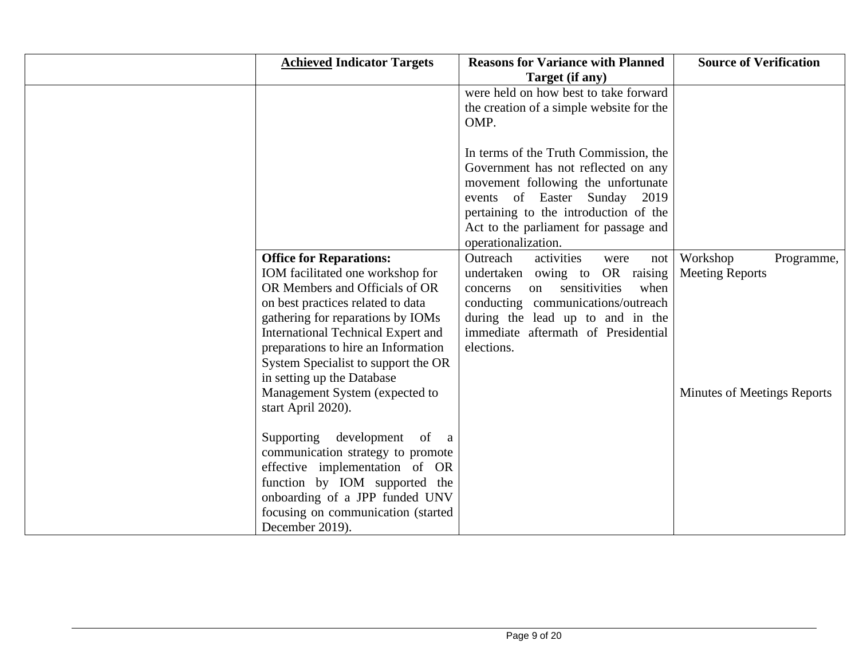| <b>Achieved Indicator Targets</b>                                                                                                                                                                                                                                                                                                     | <b>Reasons for Variance with Planned</b><br>Target (if any)                                                                                                                                                                                                              | <b>Source of Verification</b>                    |
|---------------------------------------------------------------------------------------------------------------------------------------------------------------------------------------------------------------------------------------------------------------------------------------------------------------------------------------|--------------------------------------------------------------------------------------------------------------------------------------------------------------------------------------------------------------------------------------------------------------------------|--------------------------------------------------|
|                                                                                                                                                                                                                                                                                                                                       | were held on how best to take forward<br>the creation of a simple website for the<br>OMP.                                                                                                                                                                                |                                                  |
|                                                                                                                                                                                                                                                                                                                                       | In terms of the Truth Commission, the<br>Government has not reflected on any<br>movement following the unfortunate<br>events of Easter Sunday 2019<br>pertaining to the introduction of the<br>Act to the parliament for passage and                                     |                                                  |
| <b>Office for Reparations:</b><br>IOM facilitated one workshop for<br>OR Members and Officials of OR<br>on best practices related to data<br>gathering for reparations by IOMs<br><b>International Technical Expert and</b><br>preparations to hire an Information<br>System Specialist to support the OR                             | operationalization.<br>Outreach<br>activities<br>were<br>not<br>undertaken owing to OR raising<br>sensitivities<br>when<br>concerns<br>on<br>conducting communications/outreach<br>during the lead up to and in the<br>immediate aftermath of Presidential<br>elections. | Workshop<br>Programme,<br><b>Meeting Reports</b> |
| in setting up the Database<br>Management System (expected to<br>start April 2020).<br>Supporting development<br>of<br><sub>a</sub><br>communication strategy to promote<br>effective implementation of OR<br>function by IOM supported the<br>onboarding of a JPP funded UNV<br>focusing on communication (started<br>December 2019). |                                                                                                                                                                                                                                                                          | <b>Minutes of Meetings Reports</b>               |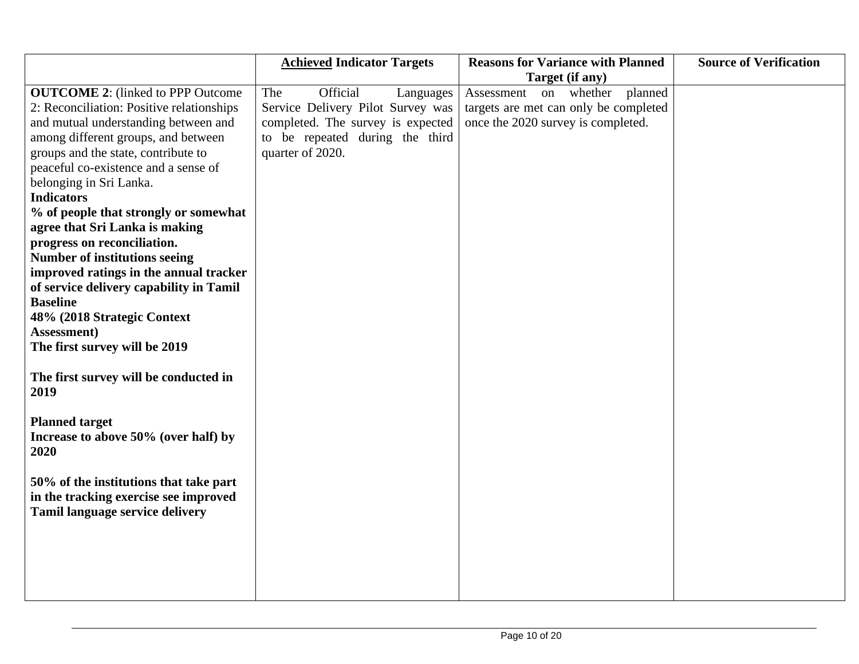|                                           | <b>Achieved Indicator Targets</b> | <b>Reasons for Variance with Planned</b> | <b>Source of Verification</b> |
|-------------------------------------------|-----------------------------------|------------------------------------------|-------------------------------|
|                                           |                                   | Target (if any)                          |                               |
| <b>OUTCOME 2:</b> (linked to PPP Outcome  | The<br>Official<br>Languages      | Assessment on whether planned            |                               |
| 2: Reconciliation: Positive relationships | Service Delivery Pilot Survey was | targets are met can only be completed    |                               |
| and mutual understanding between and      | completed. The survey is expected | once the 2020 survey is completed.       |                               |
| among different groups, and between       | to be repeated during the third   |                                          |                               |
| groups and the state, contribute to       | quarter of 2020.                  |                                          |                               |
| peaceful co-existence and a sense of      |                                   |                                          |                               |
| belonging in Sri Lanka.                   |                                   |                                          |                               |
| <b>Indicators</b>                         |                                   |                                          |                               |
| % of people that strongly or somewhat     |                                   |                                          |                               |
| agree that Sri Lanka is making            |                                   |                                          |                               |
| progress on reconciliation.               |                                   |                                          |                               |
| <b>Number of institutions seeing</b>      |                                   |                                          |                               |
| improved ratings in the annual tracker    |                                   |                                          |                               |
| of service delivery capability in Tamil   |                                   |                                          |                               |
| <b>Baseline</b>                           |                                   |                                          |                               |
| 48% (2018 Strategic Context               |                                   |                                          |                               |
| Assessment)                               |                                   |                                          |                               |
| The first survey will be 2019             |                                   |                                          |                               |
|                                           |                                   |                                          |                               |
| The first survey will be conducted in     |                                   |                                          |                               |
| 2019                                      |                                   |                                          |                               |
|                                           |                                   |                                          |                               |
| <b>Planned target</b>                     |                                   |                                          |                               |
| Increase to above 50% (over half) by      |                                   |                                          |                               |
| 2020                                      |                                   |                                          |                               |
|                                           |                                   |                                          |                               |
| 50% of the institutions that take part    |                                   |                                          |                               |
| in the tracking exercise see improved     |                                   |                                          |                               |
| Tamil language service delivery           |                                   |                                          |                               |
|                                           |                                   |                                          |                               |
|                                           |                                   |                                          |                               |
|                                           |                                   |                                          |                               |
|                                           |                                   |                                          |                               |
|                                           |                                   |                                          |                               |
|                                           |                                   |                                          |                               |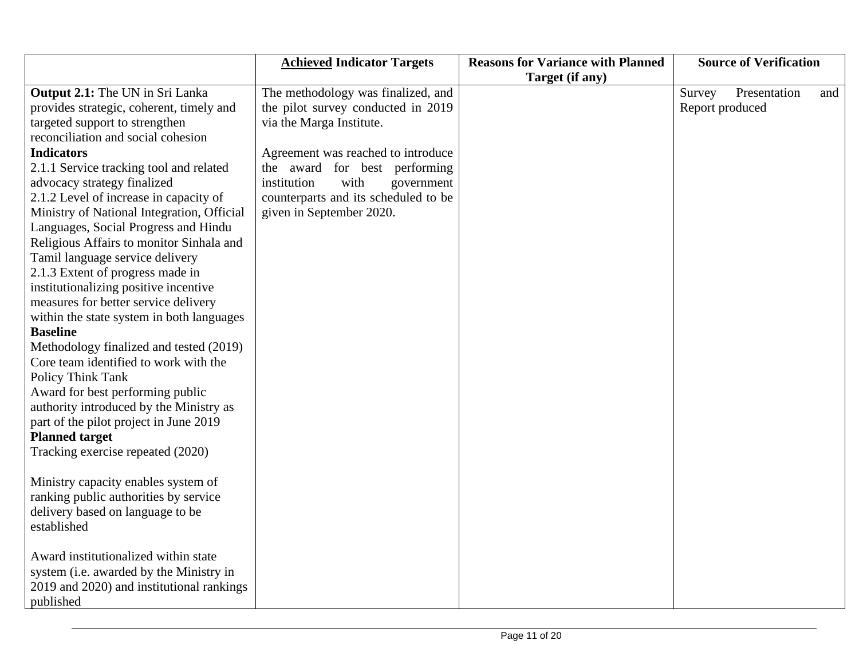|                                            | <b>Achieved Indicator Targets</b>    | <b>Reasons for Variance with Planned</b> | <b>Source of Verification</b> |
|--------------------------------------------|--------------------------------------|------------------------------------------|-------------------------------|
|                                            |                                      | Target (if any)                          |                               |
| <b>Output 2.1:</b> The UN in Sri Lanka     | The methodology was finalized, and   |                                          | Survey<br>Presentation<br>and |
| provides strategic, coherent, timely and   | the pilot survey conducted in 2019   |                                          | Report produced               |
| targeted support to strengthen             | via the Marga Institute.             |                                          |                               |
| reconciliation and social cohesion         |                                      |                                          |                               |
| <b>Indicators</b>                          | Agreement was reached to introduce   |                                          |                               |
| 2.1.1 Service tracking tool and related    | the award for best performing        |                                          |                               |
| advocacy strategy finalized                | institution<br>with<br>government    |                                          |                               |
| 2.1.2 Level of increase in capacity of     | counterparts and its scheduled to be |                                          |                               |
| Ministry of National Integration, Official | given in September 2020.             |                                          |                               |
| Languages, Social Progress and Hindu       |                                      |                                          |                               |
| Religious Affairs to monitor Sinhala and   |                                      |                                          |                               |
| Tamil language service delivery            |                                      |                                          |                               |
| 2.1.3 Extent of progress made in           |                                      |                                          |                               |
| institutionalizing positive incentive      |                                      |                                          |                               |
| measures for better service delivery       |                                      |                                          |                               |
| within the state system in both languages  |                                      |                                          |                               |
| <b>Baseline</b>                            |                                      |                                          |                               |
| Methodology finalized and tested (2019)    |                                      |                                          |                               |
| Core team identified to work with the      |                                      |                                          |                               |
| <b>Policy Think Tank</b>                   |                                      |                                          |                               |
| Award for best performing public           |                                      |                                          |                               |
| authority introduced by the Ministry as    |                                      |                                          |                               |
| part of the pilot project in June 2019     |                                      |                                          |                               |
| <b>Planned target</b>                      |                                      |                                          |                               |
| Tracking exercise repeated (2020)          |                                      |                                          |                               |
|                                            |                                      |                                          |                               |
| Ministry capacity enables system of        |                                      |                                          |                               |
| ranking public authorities by service      |                                      |                                          |                               |
| delivery based on language to be           |                                      |                                          |                               |
| established                                |                                      |                                          |                               |
|                                            |                                      |                                          |                               |
| Award institutionalized within state       |                                      |                                          |                               |
| system (i.e. awarded by the Ministry in    |                                      |                                          |                               |
| 2019 and 2020) and institutional rankings  |                                      |                                          |                               |
| published                                  |                                      |                                          |                               |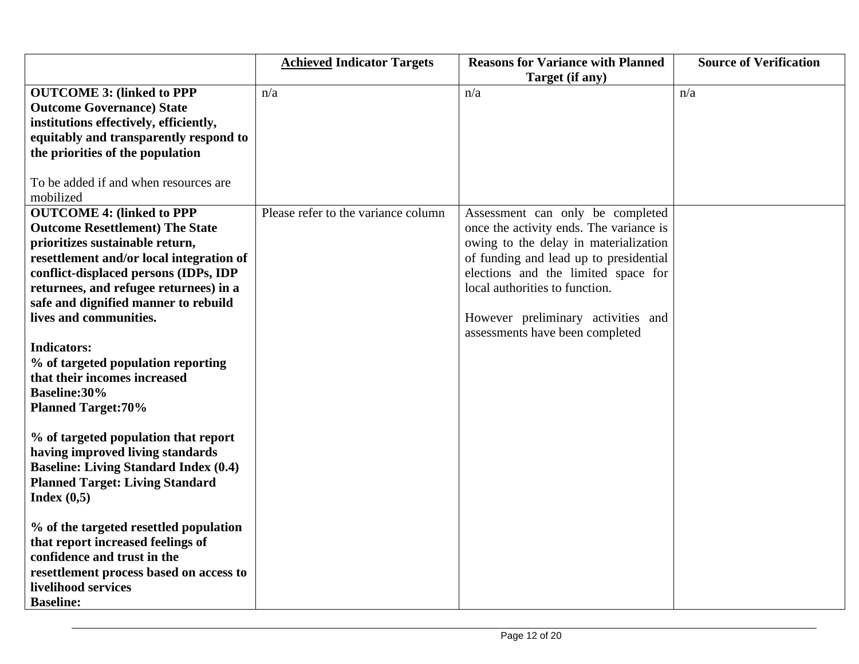|                                                    | <b>Achieved Indicator Targets</b>   | <b>Reasons for Variance with Planned</b> | <b>Source of Verification</b> |
|----------------------------------------------------|-------------------------------------|------------------------------------------|-------------------------------|
|                                                    |                                     | Target (if any)                          |                               |
| <b>OUTCOME 3: (linked to PPP</b>                   | n/a                                 | n/a                                      | n/a                           |
| <b>Outcome Governance) State</b>                   |                                     |                                          |                               |
| institutions effectively, efficiently,             |                                     |                                          |                               |
| equitably and transparently respond to             |                                     |                                          |                               |
| the priorities of the population                   |                                     |                                          |                               |
| To be added if and when resources are<br>mobilized |                                     |                                          |                               |
| <b>OUTCOME 4: (linked to PPP</b>                   | Please refer to the variance column | Assessment can only be completed         |                               |
| <b>Outcome Resettlement) The State</b>             |                                     | once the activity ends. The variance is  |                               |
| prioritizes sustainable return,                    |                                     | owing to the delay in materialization    |                               |
| resettlement and/or local integration of           |                                     | of funding and lead up to presidential   |                               |
| conflict-displaced persons (IDPs, IDP              |                                     | elections and the limited space for      |                               |
| returnees, and refugee returnees) in a             |                                     | local authorities to function.           |                               |
| safe and dignified manner to rebuild               |                                     |                                          |                               |
| lives and communities.                             |                                     | However preliminary activities and       |                               |
|                                                    |                                     | assessments have been completed          |                               |
| <b>Indicators:</b>                                 |                                     |                                          |                               |
| % of targeted population reporting                 |                                     |                                          |                               |
| that their incomes increased                       |                                     |                                          |                               |
| <b>Baseline:30%</b>                                |                                     |                                          |                               |
| <b>Planned Target:70%</b>                          |                                     |                                          |                               |
|                                                    |                                     |                                          |                               |
| % of targeted population that report               |                                     |                                          |                               |
| having improved living standards                   |                                     |                                          |                               |
| <b>Baseline: Living Standard Index (0.4)</b>       |                                     |                                          |                               |
| <b>Planned Target: Living Standard</b>             |                                     |                                          |                               |
| Index $(0,5)$                                      |                                     |                                          |                               |
|                                                    |                                     |                                          |                               |
| % of the targeted resettled population             |                                     |                                          |                               |
| that report increased feelings of                  |                                     |                                          |                               |
| confidence and trust in the                        |                                     |                                          |                               |
| resettlement process based on access to            |                                     |                                          |                               |
| livelihood services                                |                                     |                                          |                               |
| <b>Baseline:</b>                                   |                                     |                                          |                               |
|                                                    |                                     |                                          |                               |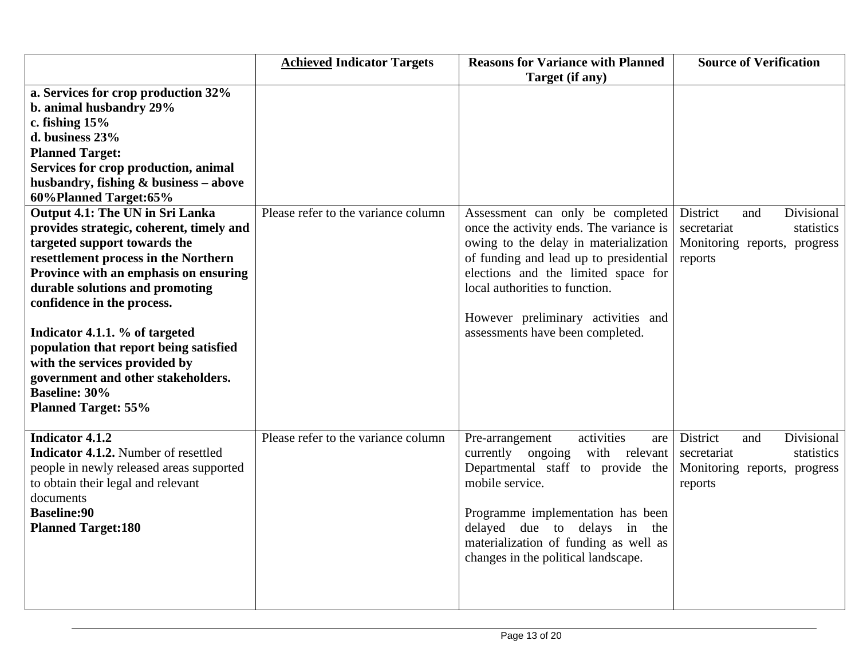|                                             | <b>Achieved Indicator Targets</b>   | <b>Reasons for Variance with Planned</b> | <b>Source of Verification</b> |
|---------------------------------------------|-------------------------------------|------------------------------------------|-------------------------------|
|                                             |                                     | Target (if any)                          |                               |
| a. Services for crop production 32%         |                                     |                                          |                               |
| b. animal husbandry 29%                     |                                     |                                          |                               |
| c. fishing $15%$                            |                                     |                                          |                               |
| d. business 23%                             |                                     |                                          |                               |
| <b>Planned Target:</b>                      |                                     |                                          |                               |
| Services for crop production, animal        |                                     |                                          |                               |
| husbandry, fishing $\&$ business – above    |                                     |                                          |                               |
| 60% Planned Target: 65%                     |                                     |                                          |                               |
| Output 4.1: The UN in Sri Lanka             | Please refer to the variance column | Assessment can only be completed         | Divisional<br>District<br>and |
| provides strategic, coherent, timely and    |                                     | once the activity ends. The variance is  | secretariat<br>statistics     |
| targeted support towards the                |                                     | owing to the delay in materialization    | Monitoring reports, progress  |
| resettlement process in the Northern        |                                     | of funding and lead up to presidential   | reports                       |
| Province with an emphasis on ensuring       |                                     | elections and the limited space for      |                               |
| durable solutions and promoting             |                                     | local authorities to function.           |                               |
| confidence in the process.                  |                                     |                                          |                               |
|                                             |                                     | However preliminary activities and       |                               |
| Indicator 4.1.1. % of targeted              |                                     | assessments have been completed.         |                               |
| population that report being satisfied      |                                     |                                          |                               |
| with the services provided by               |                                     |                                          |                               |
| government and other stakeholders.          |                                     |                                          |                               |
| <b>Baseline: 30%</b>                        |                                     |                                          |                               |
| <b>Planned Target: 55%</b>                  |                                     |                                          |                               |
|                                             |                                     |                                          |                               |
| <b>Indicator 4.1.2</b>                      | Please refer to the variance column | activities<br>Pre-arrangement<br>are     | District<br>Divisional<br>and |
| <b>Indicator 4.1.2.</b> Number of resettled |                                     | currently ongoing with relevant          | statistics<br>secretariat     |
| people in newly released areas supported    |                                     | Departmental staff to provide the        | Monitoring reports, progress  |
| to obtain their legal and relevant          |                                     | mobile service.                          | reports                       |
| documents                                   |                                     |                                          |                               |
| <b>Baseline:90</b>                          |                                     | Programme implementation has been        |                               |
| <b>Planned Target:180</b>                   |                                     | delayed due to delays in the             |                               |
|                                             |                                     | materialization of funding as well as    |                               |
|                                             |                                     | changes in the political landscape.      |                               |
|                                             |                                     |                                          |                               |
|                                             |                                     |                                          |                               |
|                                             |                                     |                                          |                               |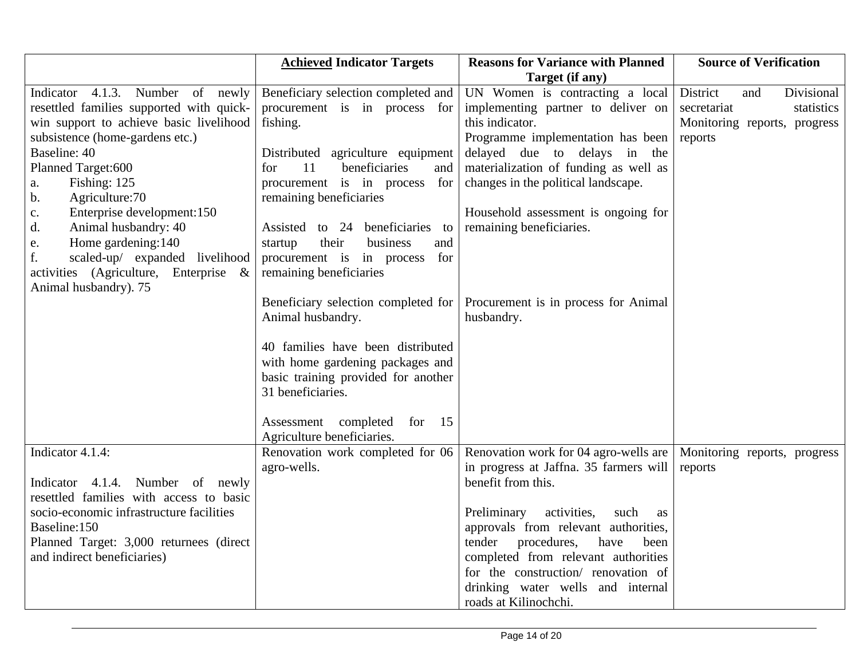|                                                                               | <b>Achieved Indicator Targets</b>                           | <b>Reasons for Variance with Planned</b> | <b>Source of Verification</b> |
|-------------------------------------------------------------------------------|-------------------------------------------------------------|------------------------------------------|-------------------------------|
|                                                                               |                                                             | Target (if any)                          |                               |
| Indicator 4.1.3. Number of newly                                              | Beneficiary selection completed and                         | UN Women is contracting a local          | District<br>Divisional<br>and |
| resettled families supported with quick-                                      | procurement is in process for                               | implementing partner to deliver on       | statistics<br>secretariat     |
| win support to achieve basic livelihood                                       | fishing.                                                    | this indicator.                          | Monitoring reports, progress  |
| subsistence (home-gardens etc.)                                               |                                                             | Programme implementation has been        | reports                       |
| Baseline: 40                                                                  | Distributed agriculture equipment                           | delayed due to delays in the             |                               |
| Planned Target:600                                                            | 11<br>beneficiaries<br>and<br>for                           | materialization of funding as well as    |                               |
| Fishing: 125<br>a.                                                            | procurement is in process for                               | changes in the political landscape.      |                               |
| Agriculture:70<br>$\mathbf{b}$ .                                              | remaining beneficiaries                                     |                                          |                               |
| Enterprise development:150<br>$\mathbf{C}$ .                                  |                                                             | Household assessment is ongoing for      |                               |
| Animal husbandry: 40<br>$\mathbf{d}$ .                                        | Assisted to 24 beneficiaries<br>to                          | remaining beneficiaries.                 |                               |
| Home gardening:140<br>e.                                                      | their<br>business<br>and<br>startup                         |                                          |                               |
| scaled-up/ expanded livelihood<br>f.<br>activities (Agriculture, Enterprise & | procurement is in process<br>for<br>remaining beneficiaries |                                          |                               |
| Animal husbandry). 75                                                         |                                                             |                                          |                               |
|                                                                               | Beneficiary selection completed for                         | Procurement is in process for Animal     |                               |
|                                                                               | Animal husbandry.                                           | husbandry.                               |                               |
|                                                                               |                                                             |                                          |                               |
|                                                                               | 40 families have been distributed                           |                                          |                               |
|                                                                               | with home gardening packages and                            |                                          |                               |
|                                                                               | basic training provided for another                         |                                          |                               |
|                                                                               | 31 beneficiaries.                                           |                                          |                               |
|                                                                               |                                                             |                                          |                               |
|                                                                               | Assessment completed<br>for<br>15                           |                                          |                               |
|                                                                               | Agriculture beneficiaries.                                  |                                          |                               |
| Indicator 4.1.4:                                                              | Renovation work completed for 06                            | Renovation work for 04 agro-wells are    | Monitoring reports, progress  |
|                                                                               | agro-wells.                                                 | in progress at Jaffna. 35 farmers will   | reports                       |
| Indicator 4.1.4. Number of newly                                              |                                                             | benefit from this.                       |                               |
| resettled families with access to basic                                       |                                                             |                                          |                               |
| socio-economic infrastructure facilities                                      |                                                             | Preliminary<br>activities,<br>such<br>as |                               |
| Baseline:150                                                                  |                                                             | approvals from relevant authorities,     |                               |
| Planned Target: 3,000 returnees (direct                                       |                                                             | tender<br>procedures,<br>have<br>been    |                               |
| and indirect beneficiaries)                                                   |                                                             | completed from relevant authorities      |                               |
|                                                                               |                                                             | for the construction/ renovation of      |                               |
|                                                                               |                                                             | drinking water wells and internal        |                               |
|                                                                               |                                                             | roads at Kilinochchi.                    |                               |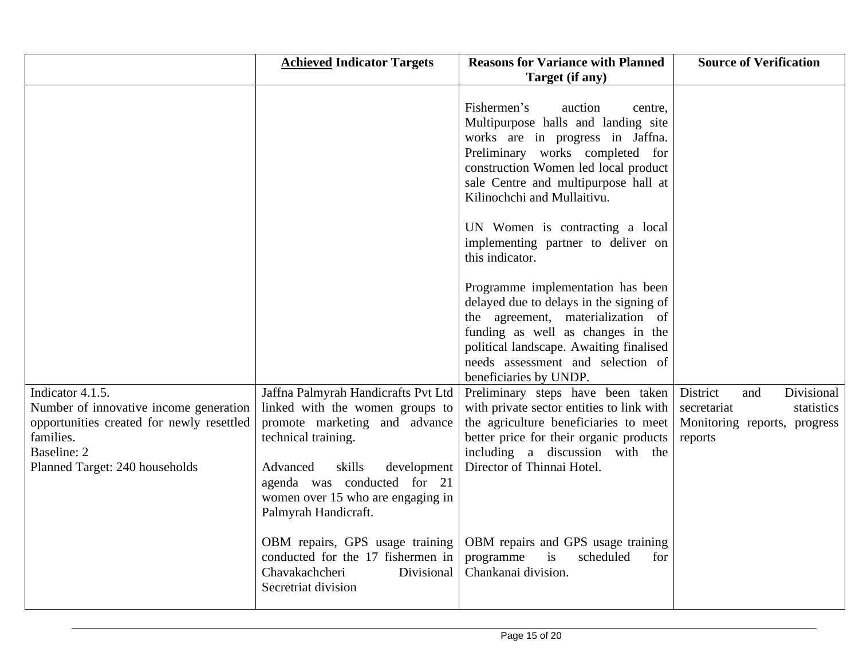|                                                                                                                                                                       | <b>Achieved Indicator Targets</b>                                                                                                                                                                                                                               | <b>Reasons for Variance with Planned</b><br>Target (if any)                                                                                                                                                                                                    | <b>Source of Verification</b>                                                                         |
|-----------------------------------------------------------------------------------------------------------------------------------------------------------------------|-----------------------------------------------------------------------------------------------------------------------------------------------------------------------------------------------------------------------------------------------------------------|----------------------------------------------------------------------------------------------------------------------------------------------------------------------------------------------------------------------------------------------------------------|-------------------------------------------------------------------------------------------------------|
|                                                                                                                                                                       |                                                                                                                                                                                                                                                                 | Fishermen's<br>auction<br>centre,<br>Multipurpose halls and landing site<br>works are in progress in Jaffna.<br>Preliminary works completed for<br>construction Women led local product<br>sale Centre and multipurpose hall at<br>Kilinochchi and Mullaitivu. |                                                                                                       |
|                                                                                                                                                                       |                                                                                                                                                                                                                                                                 | UN Women is contracting a local<br>implementing partner to deliver on<br>this indicator.                                                                                                                                                                       |                                                                                                       |
|                                                                                                                                                                       |                                                                                                                                                                                                                                                                 | Programme implementation has been<br>delayed due to delays in the signing of<br>the agreement, materialization of<br>funding as well as changes in the<br>political landscape. Awaiting finalised<br>needs assessment and selection of                         |                                                                                                       |
| Indicator 4.1.5.<br>Number of innovative income generation<br>opportunities created for newly resettled<br>families.<br>Baseline: 2<br>Planned Target: 240 households | Jaffna Palmyrah Handicrafts Pvt Ltd<br>linked with the women groups to<br>promote marketing and advance<br>technical training.<br>Advanced<br>skills<br>development<br>agenda was conducted for 21<br>women over 15 who are engaging in<br>Palmyrah Handicraft. | beneficiaries by UNDP.<br>Preliminary steps have been taken<br>with private sector entities to link with<br>the agriculture beneficiaries to meet<br>better price for their organic products<br>including a discussion with the<br>Director of Thinnai Hotel.  | Divisional<br>District<br>and<br>secretariat<br>statistics<br>Monitoring reports, progress<br>reports |
|                                                                                                                                                                       | OBM repairs, GPS usage training<br>conducted for the 17 fishermen in<br>Chavakachcheri<br>Divisional<br>Secretriat division                                                                                                                                     | OBM repairs and GPS usage training<br>programme<br>is<br>scheduled<br>for<br>Chankanai division.                                                                                                                                                               |                                                                                                       |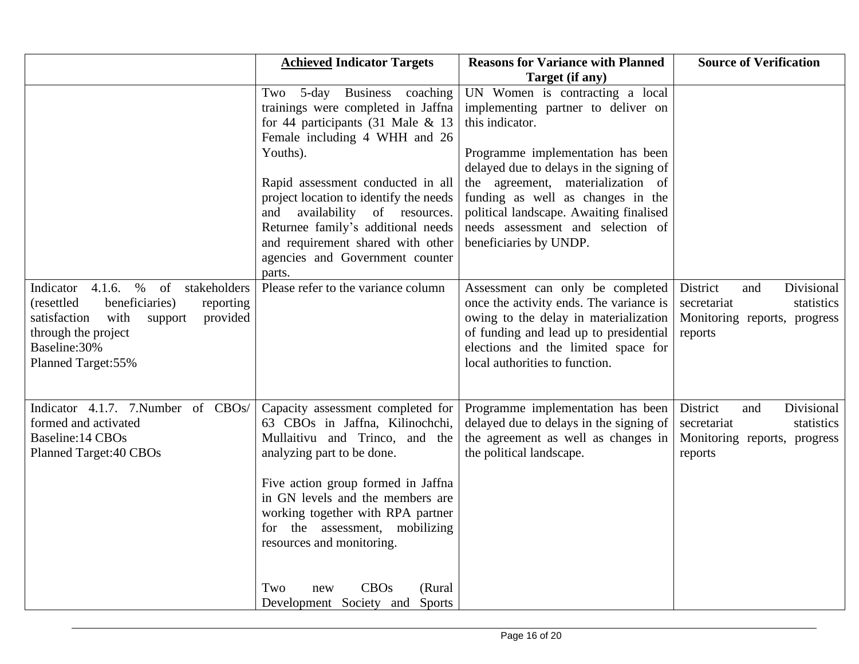|                                                                                                                                                                                                               | <b>Achieved Indicator Targets</b>                                                                                                                                                                                                                                                                                                                                                                  | <b>Reasons for Variance with Planned</b>                                                                                                                                                                                                                                                                                                                                        | <b>Source of Verification</b>                                                                         |
|---------------------------------------------------------------------------------------------------------------------------------------------------------------------------------------------------------------|----------------------------------------------------------------------------------------------------------------------------------------------------------------------------------------------------------------------------------------------------------------------------------------------------------------------------------------------------------------------------------------------------|---------------------------------------------------------------------------------------------------------------------------------------------------------------------------------------------------------------------------------------------------------------------------------------------------------------------------------------------------------------------------------|-------------------------------------------------------------------------------------------------------|
|                                                                                                                                                                                                               | Two 5-day Business coaching<br>trainings were completed in Jaffna<br>for 44 participants (31 Male $\&$ 13<br>Female including 4 WHH and 26<br>Youths).<br>Rapid assessment conducted in all<br>project location to identify the needs<br>and<br>availability of resources.<br>Returnee family's additional needs<br>and requirement shared with other<br>agencies and Government counter<br>parts. | Target (if any)<br>UN Women is contracting a local<br>implementing partner to deliver on<br>this indicator.<br>Programme implementation has been<br>delayed due to delays in the signing of<br>the agreement, materialization of<br>funding as well as changes in the<br>political landscape. Awaiting finalised<br>needs assessment and selection of<br>beneficiaries by UNDP. |                                                                                                       |
| $\%$<br>Indicator $4.1.6$ .<br>of<br>stakeholders<br>beneficiaries)<br>(resettled)<br>reporting<br>provided<br>with<br>satisfaction<br>support<br>through the project<br>Baseline: 30%<br>Planned Target: 55% | Please refer to the variance column                                                                                                                                                                                                                                                                                                                                                                | Assessment can only be completed<br>once the activity ends. The variance is<br>owing to the delay in materialization<br>of funding and lead up to presidential<br>elections and the limited space for<br>local authorities to function.                                                                                                                                         | Divisional<br>District<br>and<br>secretariat<br>statistics<br>Monitoring reports, progress<br>reports |
| Indicator 4.1.7. 7. Number of CBOs/<br>formed and activated<br>Baseline: 14 CBOs<br>Planned Target: 40 CBOs                                                                                                   | Capacity assessment completed for<br>63 CBOs in Jaffna, Kilinochchi,<br>Mullaitivu and Trinco, and the<br>analyzing part to be done.<br>Five action group formed in Jaffna<br>in GN levels and the members are<br>working together with RPA partner<br>for the assessment, mobilizing<br>resources and monitoring.<br><b>CBOs</b><br>(Rural<br>Two<br>new<br>Development Society and Sports        | Programme implementation has been<br>delayed due to delays in the signing of<br>the agreement as well as changes in<br>the political landscape.                                                                                                                                                                                                                                 | Divisional<br>District<br>and<br>secretariat<br>statistics<br>Monitoring reports, progress<br>reports |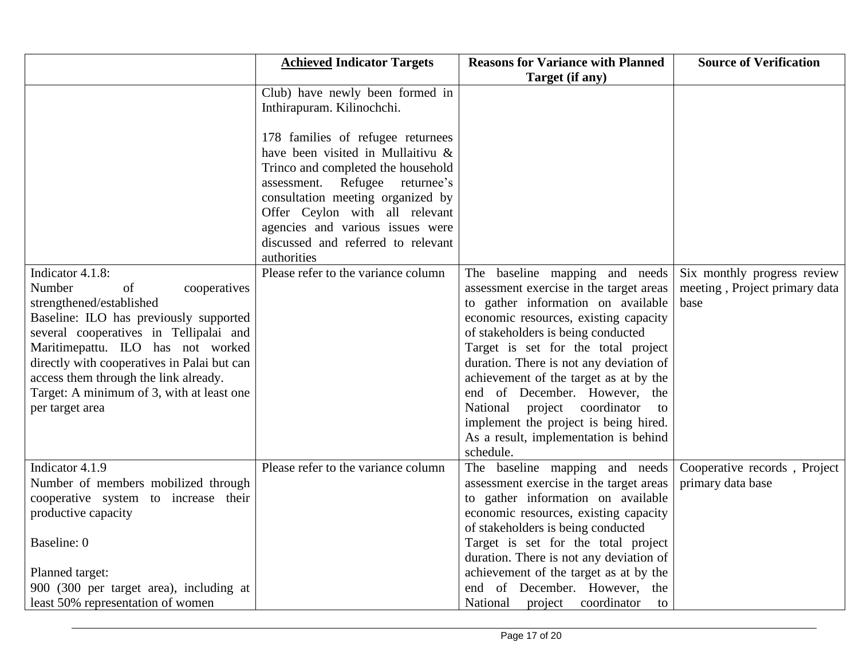|                                             | <b>Achieved Indicator Targets</b>   | <b>Reasons for Variance with Planned</b>         | <b>Source of Verification</b> |
|---------------------------------------------|-------------------------------------|--------------------------------------------------|-------------------------------|
|                                             |                                     | Target (if any)                                  |                               |
|                                             | Club) have newly been formed in     |                                                  |                               |
|                                             | Inthirapuram. Kilinochchi.          |                                                  |                               |
|                                             |                                     |                                                  |                               |
|                                             | 178 families of refugee returnees   |                                                  |                               |
|                                             | have been visited in Mullaitivu &   |                                                  |                               |
|                                             | Trinco and completed the household  |                                                  |                               |
|                                             | assessment. Refugee returnee's      |                                                  |                               |
|                                             | consultation meeting organized by   |                                                  |                               |
|                                             | Offer Ceylon with all relevant      |                                                  |                               |
|                                             | agencies and various issues were    |                                                  |                               |
|                                             | discussed and referred to relevant  |                                                  |                               |
|                                             | authorities                         |                                                  |                               |
| Indicator 4.1.8:                            | Please refer to the variance column | The baseline mapping and needs                   | Six monthly progress review   |
| Number<br>of<br>cooperatives                |                                     | assessment exercise in the target areas          | meeting, Project primary data |
| strengthened/established                    |                                     | to gather information on available               | base                          |
| Baseline: ILO has previously supported      |                                     | economic resources, existing capacity            |                               |
| several cooperatives in Tellipalai and      |                                     | of stakeholders is being conducted               |                               |
| Maritimepattu. ILO has not worked           |                                     | Target is set for the total project              |                               |
| directly with cooperatives in Palai but can |                                     | duration. There is not any deviation of          |                               |
| access them through the link already.       |                                     | achievement of the target as at by the           |                               |
| Target: A minimum of 3, with at least one   |                                     | end of December. However, the                    |                               |
| per target area                             |                                     | project coordinator<br>National<br>$\mathsf{to}$ |                               |
|                                             |                                     | implement the project is being hired.            |                               |
|                                             |                                     | As a result, implementation is behind            |                               |
|                                             |                                     | schedule.                                        |                               |
| Indicator 4.1.9                             | Please refer to the variance column | The baseline mapping and needs                   | Cooperative records, Project  |
| Number of members mobilized through         |                                     | assessment exercise in the target areas          | primary data base             |
| cooperative system to increase their        |                                     | to gather information on available               |                               |
| productive capacity                         |                                     | economic resources, existing capacity            |                               |
|                                             |                                     | of stakeholders is being conducted               |                               |
| Baseline: 0                                 |                                     | Target is set for the total project              |                               |
|                                             |                                     | duration. There is not any deviation of          |                               |
| Planned target:                             |                                     | achievement of the target as at by the           |                               |
| 900 (300 per target area), including at     |                                     | end of December. However, the                    |                               |
| least 50% representation of women           |                                     | National<br>project coordinator<br>to            |                               |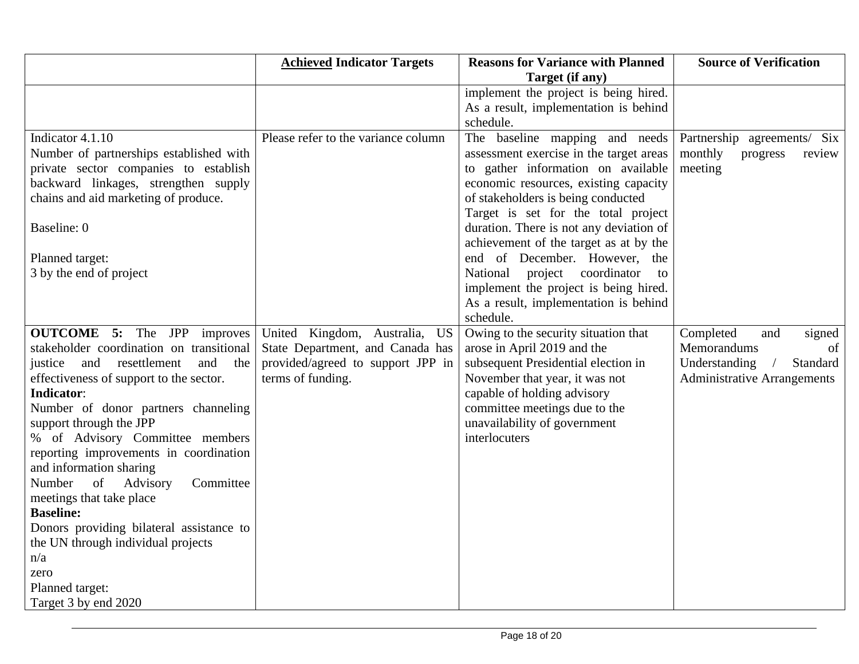|                                           | <b>Achieved Indicator Targets</b>       | <b>Reasons for Variance with Planned</b> | <b>Source of Verification</b>           |
|-------------------------------------------|-----------------------------------------|------------------------------------------|-----------------------------------------|
|                                           |                                         | Target (if any)                          |                                         |
|                                           |                                         | implement the project is being hired.    |                                         |
|                                           |                                         | As a result, implementation is behind    |                                         |
|                                           |                                         | schedule.                                |                                         |
| Indicator 4.1.10                          | Please refer to the variance column     | The baseline mapping and needs           | Partnership agreements/ Six             |
| Number of partnerships established with   |                                         | assessment exercise in the target areas  | monthly<br>progress<br>review           |
| private sector companies to establish     |                                         | to gather information on available       | meeting                                 |
| backward linkages, strengthen supply      |                                         | economic resources, existing capacity    |                                         |
| chains and aid marketing of produce.      |                                         | of stakeholders is being conducted       |                                         |
|                                           |                                         | Target is set for the total project      |                                         |
| Baseline: 0                               |                                         | duration. There is not any deviation of  |                                         |
|                                           |                                         | achievement of the target as at by the   |                                         |
| Planned target:                           |                                         | end of December. However, the            |                                         |
| 3 by the end of project                   |                                         | project coordinator<br>National<br>to    |                                         |
|                                           |                                         | implement the project is being hired.    |                                         |
|                                           |                                         | As a result, implementation is behind    |                                         |
|                                           |                                         | schedule.                                |                                         |
| <b>OUTCOME</b> 5: The JPP<br>improves     | United Kingdom, Australia,<br><b>US</b> | Owing to the security situation that     | Completed<br>and<br>signed              |
| stakeholder coordination on transitional  | State Department, and Canada has        | arose in April 2019 and the              | Memorandums<br>of                       |
| justice and<br>resettlement<br>and<br>the | provided/agreed to support JPP in       | subsequent Presidential election in      | Understanding<br>Standard<br>$\sqrt{2}$ |
| effectiveness of support to the sector.   | terms of funding.                       | November that year, it was not           | <b>Administrative Arrangements</b>      |
| <b>Indicator:</b>                         |                                         | capable of holding advisory              |                                         |
| Number of donor partners channeling       |                                         | committee meetings due to the            |                                         |
| support through the JPP                   |                                         | unavailability of government             |                                         |
| % of Advisory Committee members           |                                         | interlocuters                            |                                         |
| reporting improvements in coordination    |                                         |                                          |                                         |
| and information sharing                   |                                         |                                          |                                         |
| of<br>Advisory<br>Committee<br>Number     |                                         |                                          |                                         |
| meetings that take place                  |                                         |                                          |                                         |
| <b>Baseline:</b>                          |                                         |                                          |                                         |
| Donors providing bilateral assistance to  |                                         |                                          |                                         |
| the UN through individual projects        |                                         |                                          |                                         |
| n/a                                       |                                         |                                          |                                         |
| zero                                      |                                         |                                          |                                         |
| Planned target:                           |                                         |                                          |                                         |
| Target 3 by end 2020                      |                                         |                                          |                                         |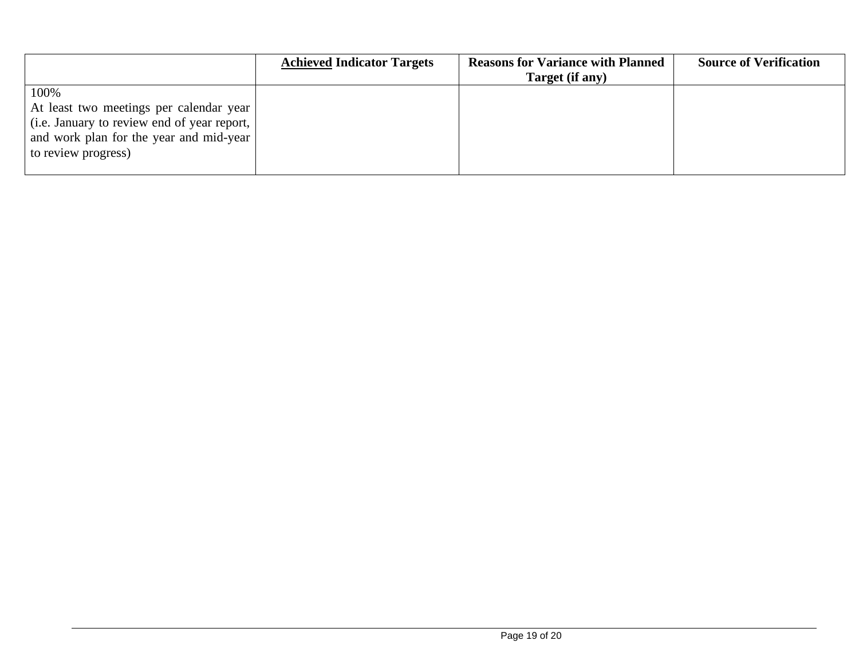|                                                                                                                                                            | <b>Achieved Indicator Targets</b> | <b>Reasons for Variance with Planned</b><br>Target (if any) | <b>Source of Verification</b> |
|------------------------------------------------------------------------------------------------------------------------------------------------------------|-----------------------------------|-------------------------------------------------------------|-------------------------------|
| 100%                                                                                                                                                       |                                   |                                                             |                               |
| At least two meetings per calendar year<br>(i.e. January to review end of year report,  <br>and work plan for the year and mid-year<br>to review progress) |                                   |                                                             |                               |